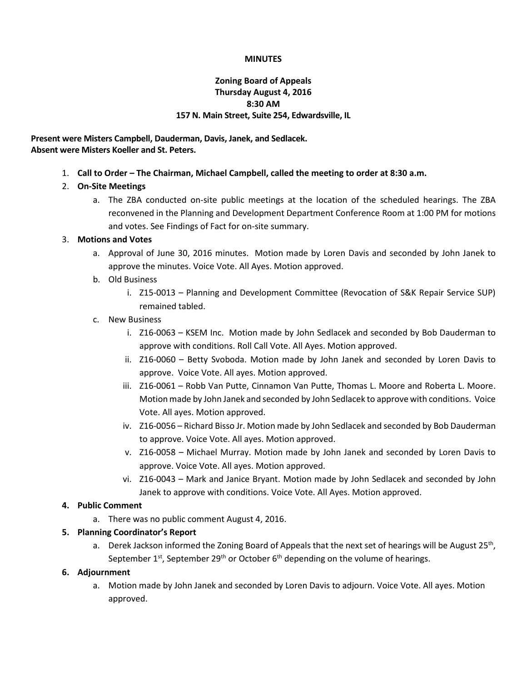### **MINUTES**

## **Zoning Board of Appeals Thursday August 4, 2016 8:30 AM 157 N. Main Street, Suite 254, Edwardsville, IL**

**Present were Misters Campbell, Dauderman, Davis, Janek, and Sedlacek. Absent were Misters Koeller and St. Peters.**

1. **Call to Order – The Chairman, Michael Campbell, called the meeting to order at 8:30 a.m.**

# 2. **On-Site Meetings**

a. The ZBA conducted on-site public meetings at the location of the scheduled hearings. The ZBA reconvened in the Planning and Development Department Conference Room at 1:00 PM for motions and votes. See Findings of Fact for on-site summary.

## 3. **Motions and Votes**

- a. Approval of June 30, 2016 minutes. Motion made by Loren Davis and seconded by John Janek to approve the minutes. Voice Vote. All Ayes. Motion approved.
- b. Old Business
	- i. Z15-0013 Planning and Development Committee (Revocation of S&K Repair Service SUP) remained tabled.

## c. New Business

- i. Z16-0063 KSEM Inc. Motion made by John Sedlacek and seconded by Bob Dauderman to approve with conditions. Roll Call Vote. All Ayes. Motion approved.
- ii. Z16-0060 Betty Svoboda. Motion made by John Janek and seconded by Loren Davis to approve. Voice Vote. All ayes. Motion approved.
- iii. Z16-0061 Robb Van Putte, Cinnamon Van Putte, Thomas L. Moore and Roberta L. Moore. Motion made by John Janek and seconded by John Sedlacek to approve with conditions. Voice Vote. All ayes. Motion approved.
- iv. Z16-0056 Richard Bisso Jr. Motion made by John Sedlacek and seconded by Bob Dauderman to approve. Voice Vote. All ayes. Motion approved.
- v. Z16-0058 Michael Murray. Motion made by John Janek and seconded by Loren Davis to approve. Voice Vote. All ayes. Motion approved.
- vi. Z16-0043 Mark and Janice Bryant. Motion made by John Sedlacek and seconded by John Janek to approve with conditions. Voice Vote. All Ayes. Motion approved.

## **4. Public Comment**

a. There was no public comment August 4, 2016.

## **5. Planning Coordinator's Report**

a. Derek Jackson informed the Zoning Board of Appeals that the next set of hearings will be August 25<sup>th</sup>, September 1st, September 29<sup>th</sup> or October 6<sup>th</sup> depending on the volume of hearings.

## **6. Adjournment**

a. Motion made by John Janek and seconded by Loren Davis to adjourn. Voice Vote. All ayes. Motion approved.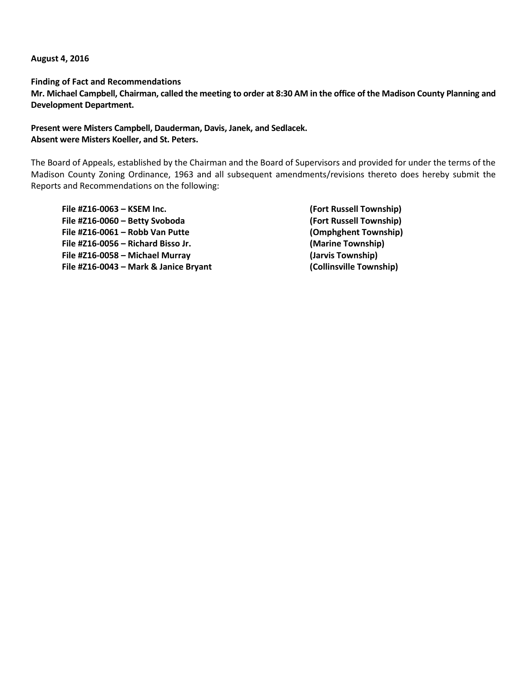**August 4, 2016**

**Finding of Fact and Recommendations**

**Mr. Michael Campbell, Chairman, called the meeting to order at 8:30 AM in the office of the Madison County Planning and Development Department.**

## **Present were Misters Campbell, Dauderman, Davis, Janek, and Sedlacek. Absent were Misters Koeller, and St. Peters.**

The Board of Appeals, established by the Chairman and the Board of Supervisors and provided for under the terms of the Madison County Zoning Ordinance, 1963 and all subsequent amendments/revisions thereto does hereby submit the Reports and Recommendations on the following:

**File #Z16-0063 – KSEM Inc. (Fort Russell Township) File #Z16-0060 – Betty Svoboda (Fort Russell Township) File #Z16-0061 – Robb Van Putte (Omphghent Township) File #Z16-0056 – Richard Bisso Jr. (Marine Township) File #Z16-0058 – Michael Murray (Jarvis Township) File #Z16-0043 – Mark & Janice Bryant (Collinsville Township)**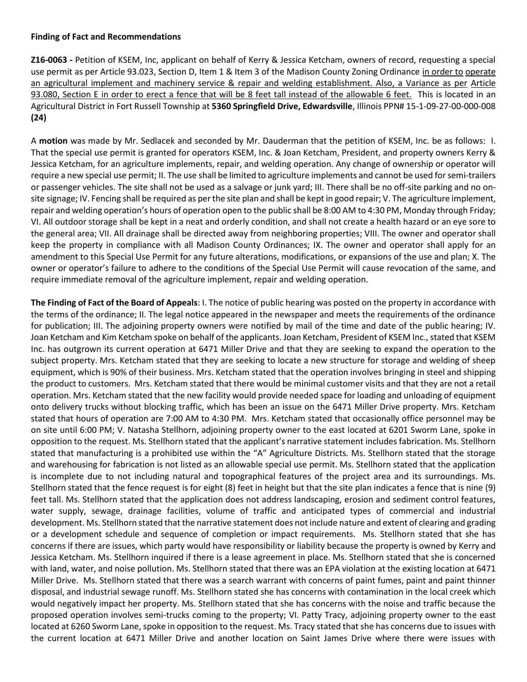#### **Finding of Fact and Recommendations**

**Z16-0063 -** Petition of KSEM, Inc, applicant on behalf of Kerry & Jessica Ketcham, owners of record, requesting a special use permit as per Article 93.023, Section D, Item 1 & Item 3 of the Madison County Zoning Ordinance in order to operate an agricultural implement and machinery service & repair and welding establishment. Also, a Variance as per Article 93.080, Section E in order to erect a fence that will be 8 feet tall instead of the allowable 6 feet. This is located in an Agricultural District in Fort Russell Township at **5360 Springfield Drive, Edwardsville**, Illinois PPN# 15-1-09-27-00-000-008 **(24)**

A **motion** was made by Mr. Sedlacek and seconded by Mr. Dauderman that the petition of KSEM, Inc. be as follows: I. That the special use permit is granted for operators KSEM, Inc. & Joan Ketcham, President, and property owners Kerry & Jessica Ketcham, for an agriculture implements, repair, and welding operation. Any change of ownership or operator will require a new special use permit; II. The use shall be limited to agriculture implements and cannot be used for semi-trailers or passenger vehicles. The site shall not be used as a salvage or junk yard; III. There shall be no off-site parking and no onsite signage; IV. Fencing shall be required as per the site plan and shall be kept in good repair; V. The agriculture implement, repair and welding operation's hours of operation open to the public shall be 8:00 AM to 4:30 PM, Monday through Friday; VI. All outdoor storage shall be kept in a neat and orderly condition, and shall not create a health hazard or an eye sore to the general area; VII. All drainage shall be directed away from neighboring properties; VIII. The owner and operator shall keep the property in compliance with all Madison County Ordinances; IX. The owner and operator shall apply for an amendment to this Special Use Permit for any future alterations, modifications, or expansions of the use and plan; X. The owner or operator's failure to adhere to the conditions of the Special Use Permit will cause revocation of the same, and require immediate removal of the agriculture implement, repair and welding operation.

**The Finding of Fact of the Board of Appeals**: I. The notice of public hearing was posted on the property in accordance with the terms of the ordinance; II. The legal notice appeared in the newspaper and meets the requirements of the ordinance for publication; III. The adjoining property owners were notified by mail of the time and date of the public hearing; IV. Joan Ketcham and Kim Ketcham spoke on behalf of the applicants. Joan Ketcham, President of KSEM Inc., stated that KSEM Inc. has outgrown its current operation at 6471 Miller Drive and that they are seeking to expand the operation to the subject property. Mrs. Ketcham stated that they are seeking to locate a new structure for storage and welding of sheep equipment, which is 90% of their business. Mrs. Ketcham stated that the operation involves bringing in steel and shipping the product to customers. Mrs. Ketcham stated that there would be minimal customer visits and that they are not a retail operation. Mrs. Ketcham stated that the new facility would provide needed space for loading and unloading of equipment onto delivery trucks without blocking traffic, which has been an issue on the 6471 Miller Drive property. Mrs. Ketcham stated that hours of operation are 7:00 AM to 4:30 PM. Mrs. Ketcham stated that occasionally office personnel may be on site until 6:00 PM; V. Natasha Stellhorn, adjoining property owner to the east located at 6201 Sworm Lane, spoke in opposition to the request. Ms. Stellhorn stated that the applicant's narrative statement includes fabrication. Ms. Stellhorn stated that manufacturing is a prohibited use within the "A" Agriculture Districts. Ms. Stellhorn stated that the storage and warehousing for fabrication is not listed as an allowable special use permit. Ms. Stellhorn stated that the application is incomplete due to not including natural and topographical features of the project area and its surroundings. Ms. Stellhorn stated that the fence request is for eight (8) feet in height but that the site plan indicates a fence that is nine (9) feet tall. Ms. Stellhorn stated that the application does not address landscaping, erosion and sediment control features, water supply, sewage, drainage facilities, volume of traffic and anticipated types of commercial and industrial development. Ms. Stellhorn stated that the narrative statement does not include nature and extent of clearing and grading or a development schedule and sequence of completion or impact requirements. Ms. Stellhorn stated that she has concerns if there are issues, which party would have responsibility or liability because the property is owned by Kerry and Jessica Ketcham. Ms. Stellhorn inquired if there is a lease agreement in place. Ms. Stellhorn stated that she is concerned with land, water, and noise pollution. Ms. Stellhorn stated that there was an EPA violation at the existing location at 6471 Miller Drive. Ms. Stellhorn stated that there was a search warrant with concerns of paint fumes, paint and paint thinner disposal, and industrial sewage runoff. Ms. Stellhorn stated she has concerns with contamination in the local creek which would negatively impact her property. Ms. Stellhorn stated that she has concerns with the noise and traffic because the proposed operation involves semi-trucks coming to the property; VI. Patty Tracy, adjoining property owner to the east located at 6260 Sworm Lane, spoke in opposition to the request. Ms. Tracy stated that she has concerns due to issues with the current location at 6471 Miller Drive and another location on Saint James Drive where there were issues with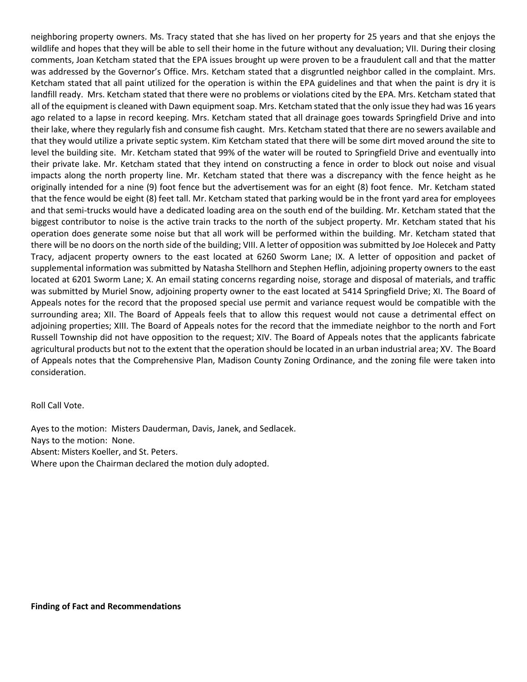neighboring property owners. Ms. Tracy stated that she has lived on her property for 25 years and that she enjoys the wildlife and hopes that they will be able to sell their home in the future without any devaluation; VII. During their closing comments, Joan Ketcham stated that the EPA issues brought up were proven to be a fraudulent call and that the matter was addressed by the Governor's Office. Mrs. Ketcham stated that a disgruntled neighbor called in the complaint. Mrs. Ketcham stated that all paint utilized for the operation is within the EPA guidelines and that when the paint is dry it is landfill ready. Mrs. Ketcham stated that there were no problems or violations cited by the EPA. Mrs. Ketcham stated that all of the equipment is cleaned with Dawn equipment soap. Mrs. Ketcham stated that the only issue they had was 16 years ago related to a lapse in record keeping. Mrs. Ketcham stated that all drainage goes towards Springfield Drive and into their lake, where they regularly fish and consume fish caught. Mrs. Ketcham stated that there are no sewers available and that they would utilize a private septic system. Kim Ketcham stated that there will be some dirt moved around the site to level the building site. Mr. Ketcham stated that 99% of the water will be routed to Springfield Drive and eventually into their private lake. Mr. Ketcham stated that they intend on constructing a fence in order to block out noise and visual impacts along the north property line. Mr. Ketcham stated that there was a discrepancy with the fence height as he originally intended for a nine (9) foot fence but the advertisement was for an eight (8) foot fence. Mr. Ketcham stated that the fence would be eight (8) feet tall. Mr. Ketcham stated that parking would be in the front yard area for employees and that semi-trucks would have a dedicated loading area on the south end of the building. Mr. Ketcham stated that the biggest contributor to noise is the active train tracks to the north of the subject property. Mr. Ketcham stated that his operation does generate some noise but that all work will be performed within the building. Mr. Ketcham stated that there will be no doors on the north side of the building; VIII. A letter of opposition was submitted by Joe Holecek and Patty Tracy, adjacent property owners to the east located at 6260 Sworm Lane; IX. A letter of opposition and packet of supplemental information was submitted by Natasha Stellhorn and Stephen Heflin, adjoining property owners to the east located at 6201 Sworm Lane; X. An email stating concerns regarding noise, storage and disposal of materials, and traffic was submitted by Muriel Snow, adjoining property owner to the east located at 5414 Springfield Drive; XI. The Board of Appeals notes for the record that the proposed special use permit and variance request would be compatible with the surrounding area; XII. The Board of Appeals feels that to allow this request would not cause a detrimental effect on adjoining properties; XIII. The Board of Appeals notes for the record that the immediate neighbor to the north and Fort Russell Township did not have opposition to the request; XIV. The Board of Appeals notes that the applicants fabricate agricultural products but not to the extent that the operation should be located in an urban industrial area; XV. The Board of Appeals notes that the Comprehensive Plan, Madison County Zoning Ordinance, and the zoning file were taken into consideration.

Roll Call Vote.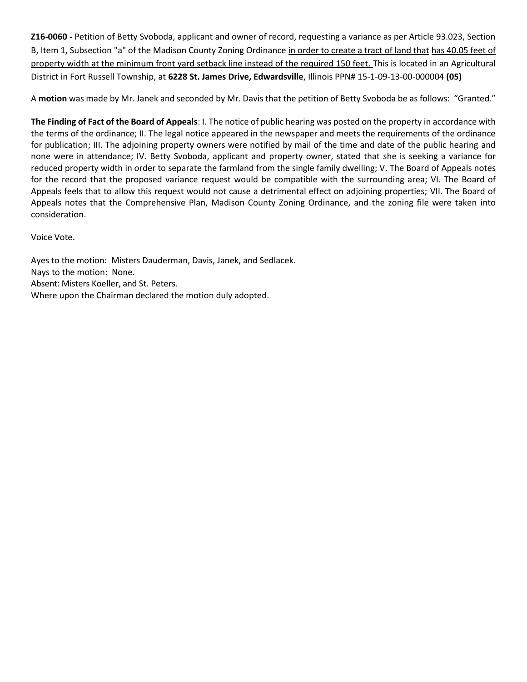**Z16-0060 -** Petition of Betty Svoboda, applicant and owner of record, requesting a variance as per Article 93.023, Section B, Item 1, Subsection "a" of the Madison County Zoning Ordinance in order to create a tract of land that has 40.05 feet of property width at the minimum front yard setback line instead of the required 150 feet. This is located in an Agricultural District in Fort Russell Township, at **6228 St. James Drive, Edwardsville**, Illinois PPN# 15-1-09-13-00-000004 **(05)**

A **motion** was made by Mr. Janek and seconded by Mr. Davis that the petition of Betty Svoboda be as follows: "Granted."

**The Finding of Fact of the Board of Appeals**: I. The notice of public hearing was posted on the property in accordance with the terms of the ordinance; II. The legal notice appeared in the newspaper and meets the requirements of the ordinance for publication; III. The adjoining property owners were notified by mail of the time and date of the public hearing and none were in attendance; IV. Betty Svoboda, applicant and property owner, stated that she is seeking a variance for reduced property width in order to separate the farmland from the single family dwelling; V. The Board of Appeals notes for the record that the proposed variance request would be compatible with the surrounding area; VI. The Board of Appeals feels that to allow this request would not cause a detrimental effect on adjoining properties; VII. The Board of Appeals notes that the Comprehensive Plan, Madison County Zoning Ordinance, and the zoning file were taken into consideration.

Voice Vote.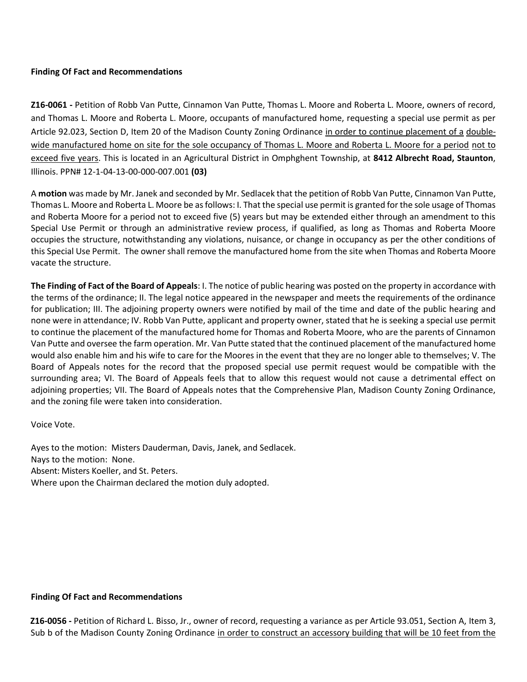#### **Finding Of Fact and Recommendations**

**Z16-0061 -** Petition of Robb Van Putte, Cinnamon Van Putte, Thomas L. Moore and Roberta L. Moore, owners of record, and Thomas L. Moore and Roberta L. Moore, occupants of manufactured home, requesting a special use permit as per Article 92.023, Section D, Item 20 of the Madison County Zoning Ordinance in order to continue placement of a doublewide manufactured home on site for the sole occupancy of Thomas L. Moore and Roberta L. Moore for a period not to exceed five years. This is located in an Agricultural District in Omphghent Township, at **8412 Albrecht Road, Staunton**, Illinois. PPN# 12-1-04-13-00-000-007.001 **(03)**

A **motion** was made by Mr. Janek and seconded by Mr. Sedlacek that the petition of Robb Van Putte, Cinnamon Van Putte, Thomas L. Moore and Roberta L. Moore be as follows: I. That the special use permit is granted for the sole usage of Thomas and Roberta Moore for a period not to exceed five (5) years but may be extended either through an amendment to this Special Use Permit or through an administrative review process, if qualified, as long as Thomas and Roberta Moore occupies the structure, notwithstanding any violations, nuisance, or change in occupancy as per the other conditions of this Special Use Permit. The owner shall remove the manufactured home from the site when Thomas and Roberta Moore vacate the structure.

**The Finding of Fact of the Board of Appeals**: I. The notice of public hearing was posted on the property in accordance with the terms of the ordinance; II. The legal notice appeared in the newspaper and meets the requirements of the ordinance for publication; III. The adjoining property owners were notified by mail of the time and date of the public hearing and none were in attendance; IV. Robb Van Putte, applicant and property owner, stated that he is seeking a special use permit to continue the placement of the manufactured home for Thomas and Roberta Moore, who are the parents of Cinnamon Van Putte and oversee the farm operation. Mr. Van Putte stated that the continued placement of the manufactured home would also enable him and his wife to care for the Moores in the event that they are no longer able to themselves; V. The Board of Appeals notes for the record that the proposed special use permit request would be compatible with the surrounding area; VI. The Board of Appeals feels that to allow this request would not cause a detrimental effect on adjoining properties; VII. The Board of Appeals notes that the Comprehensive Plan, Madison County Zoning Ordinance, and the zoning file were taken into consideration.

Voice Vote.

Ayes to the motion: Misters Dauderman, Davis, Janek, and Sedlacek. Nays to the motion: None. Absent: Misters Koeller, and St. Peters. Where upon the Chairman declared the motion duly adopted.

### **Finding Of Fact and Recommendations**

**Z16-0056 -** Petition of Richard L. Bisso, Jr., owner of record, requesting a variance as per Article 93.051, Section A, Item 3, Sub b of the Madison County Zoning Ordinance in order to construct an accessory building that will be 10 feet from the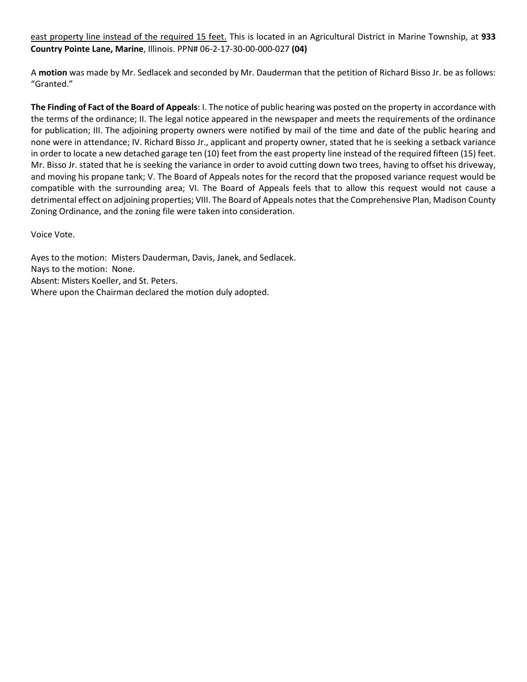east property line instead of the required 15 feet. This is located in an Agricultural District in Marine Township, at **933 Country Pointe Lane, Marine**, Illinois. PPN# 06-2-17-30-00-000-027 **(04)** 

A **motion** was made by Mr. Sedlacek and seconded by Mr. Dauderman that the petition of Richard Bisso Jr. be as follows: "Granted."

**The Finding of Fact of the Board of Appeals**: I. The notice of public hearing was posted on the property in accordance with the terms of the ordinance; II. The legal notice appeared in the newspaper and meets the requirements of the ordinance for publication; III. The adjoining property owners were notified by mail of the time and date of the public hearing and none were in attendance; IV. Richard Bisso Jr., applicant and property owner, stated that he is seeking a setback variance in order to locate a new detached garage ten (10) feet from the east property line instead of the required fifteen (15) feet. Mr. Bisso Jr. stated that he is seeking the variance in order to avoid cutting down two trees, having to offset his driveway, and moving his propane tank; V. The Board of Appeals notes for the record that the proposed variance request would be compatible with the surrounding area; VI. The Board of Appeals feels that to allow this request would not cause a detrimental effect on adjoining properties; VIII. The Board of Appeals notes that the Comprehensive Plan, Madison County Zoning Ordinance, and the zoning file were taken into consideration.

Voice Vote.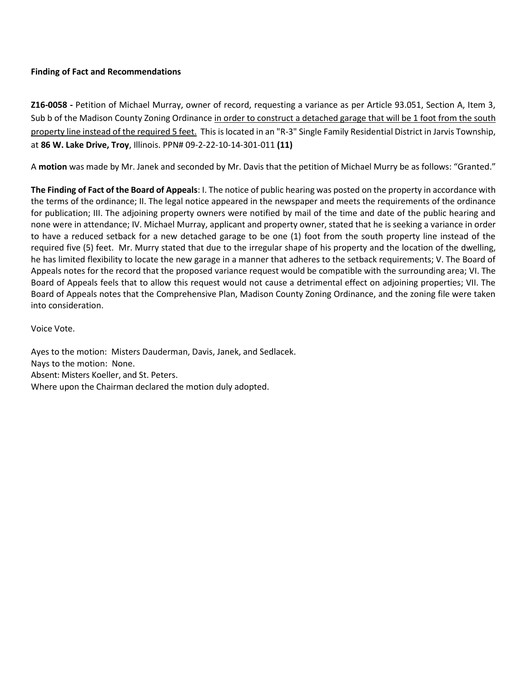### **Finding of Fact and Recommendations**

**Z16-0058 -** Petition of Michael Murray, owner of record, requesting a variance as per Article 93.051, Section A, Item 3, Sub b of the Madison County Zoning Ordinance in order to construct a detached garage that will be 1 foot from the south property line instead of the required 5 feet. This is located in an "R-3" Single Family Residential District in Jarvis Township, at **86 W. Lake Drive, Troy**, Illinois. PPN# 09-2-22-10-14-301-011 **(11)**

A **motion** was made by Mr. Janek and seconded by Mr. Davis that the petition of Michael Murry be as follows: "Granted."

**The Finding of Fact of the Board of Appeals**: I. The notice of public hearing was posted on the property in accordance with the terms of the ordinance; II. The legal notice appeared in the newspaper and meets the requirements of the ordinance for publication; III. The adjoining property owners were notified by mail of the time and date of the public hearing and none were in attendance; IV. Michael Murray, applicant and property owner, stated that he is seeking a variance in order to have a reduced setback for a new detached garage to be one (1) foot from the south property line instead of the required five (5) feet. Mr. Murry stated that due to the irregular shape of his property and the location of the dwelling, he has limited flexibility to locate the new garage in a manner that adheres to the setback requirements; V. The Board of Appeals notes for the record that the proposed variance request would be compatible with the surrounding area; VI. The Board of Appeals feels that to allow this request would not cause a detrimental effect on adjoining properties; VII. The Board of Appeals notes that the Comprehensive Plan, Madison County Zoning Ordinance, and the zoning file were taken into consideration.

Voice Vote.